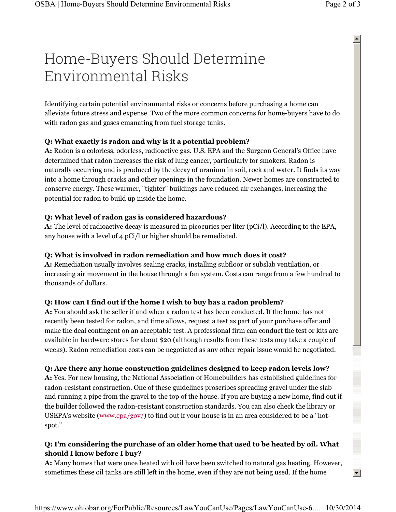# Home-Buyers Should Determine Environmental Risks

Identifying certain potential environmental risks or concerns before purchasing a home can alleviate future stress and expense. Two of the more common concerns for home-buyers have to do with radon gas and gases emanating from fuel storage tanks.

#### **Q: What exactly is radon and why is it a potential problem?**

**A:** Radon is a colorless, odorless, radioactive gas. U.S. EPA and the Surgeon General's Office have determined that radon increases the risk of lung cancer, particularly for smokers. Radon is naturally occurring and is produced by the decay of uranium in soil, rock and water. It finds its way into a home through cracks and other openings in the foundation. Newer homes are constructed to conserve energy. These warmer, "tighter" buildings have reduced air exchanges, increasing the potential for radon to build up inside the home.

#### **Q: What level of radon gas is considered hazardous?**

**A:** The level of radioactive decay is measured in picocuries per liter (pCi/l). According to the EPA, any house with a level of 4 pCi/l or higher should be remediated.

#### **Q: What is involved in radon remediation and how much does it cost?**

**A:** Remediation usually involves sealing cracks, installing subfloor or subslab ventilation, or increasing air movement in the house through a fan system. Costs can range from a few hundred to thousands of dollars.

### **Q: How can I find out if the home I wish to buy has a radon problem?**

**A:** You should ask the seller if and when a radon test has been conducted. If the home has not recently been tested for radon, and time allows, request a test as part of your purchase offer and make the deal contingent on an acceptable test. A professional firm can conduct the test or kits are available in hardware stores for about \$20 (although results from these tests may take a couple of weeks). Radon remediation costs can be negotiated as any other repair issue would be negotiated.

#### **Q: Are there any home construction guidelines designed to keep radon levels low?**

**A:** Yes. For new housing, the National Association of Homebuilders has established guidelines for radon-resistant construction. One of these guidelines proscribes spreading gravel under the slab and running a pipe from the gravel to the top of the house. If you are buying a new home, find out if the builder followed the radon-resistant construction standards. You can also check the library or USEPA's website (www.epa/gov/) to find out if your house is in an area considered to be a "hotspot."

## **Q: I'm considering the purchase of an older home that used to be heated by oil. What should I know before I buy?**

**A:** Many homes that were once heated with oil have been switched to natural gas heating. However, sometimes these oil tanks are still left in the home, even if they are not being used. If the home

 $\blacktriangle$